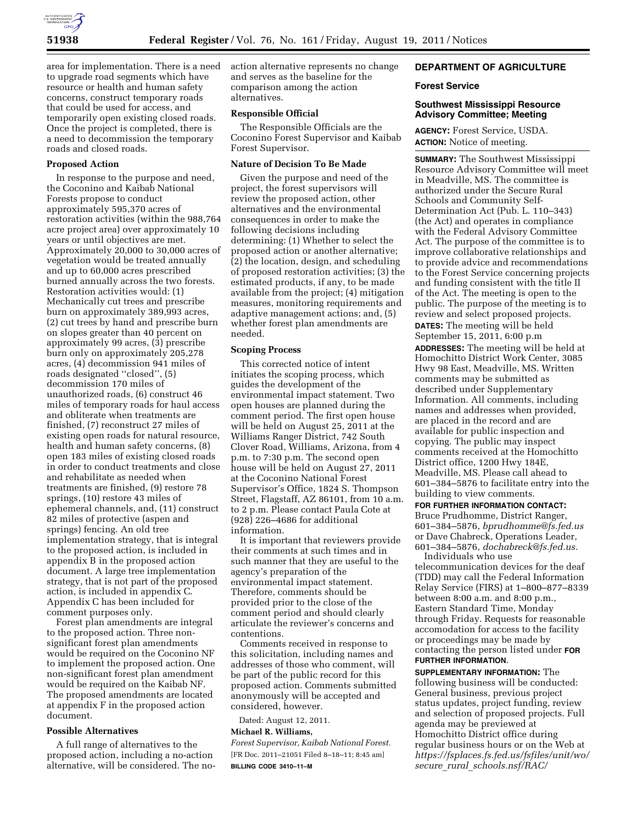

area for implementation. There is a need to upgrade road segments which have resource or health and human safety concerns, construct temporary roads that could be used for access, and temporarily open existing closed roads. Once the project is completed, there is a need to decommission the temporary roads and closed roads.

# **Proposed Action**

In response to the purpose and need, the Coconino and Kaibab National Forests propose to conduct approximately 595,370 acres of restoration activities (within the 988,764 acre project area) over approximately 10 years or until objectives are met. Approximately 20,000 to 30,000 acres of vegetation would be treated annually and up to 60,000 acres prescribed burned annually across the two forests. Restoration activities would: (1) Mechanically cut trees and prescribe burn on approximately 389,993 acres, (2) cut trees by hand and prescribe burn on slopes greater than 40 percent on approximately 99 acres, (3) prescribe burn only on approximately 205,278 acres, (4) decommission 941 miles of roads designated ''closed'', (5) decommission 170 miles of unauthorized roads, (6) construct 46 miles of temporary roads for haul access and obliterate when treatments are finished, (7) reconstruct 27 miles of existing open roads for natural resource, health and human safety concerns, (8) open 183 miles of existing closed roads in order to conduct treatments and close and rehabilitate as needed when treatments are finished, (9) restore 78 springs, (10) restore 43 miles of ephemeral channels, and, (11) construct 82 miles of protective (aspen and springs) fencing. An old tree implementation strategy, that is integral to the proposed action, is included in appendix B in the proposed action document. A large tree implementation strategy, that is not part of the proposed action, is included in appendix C. Appendix C has been included for comment purposes only.

Forest plan amendments are integral to the proposed action. Three nonsignificant forest plan amendments would be required on the Coconino NF to implement the proposed action. One non-significant forest plan amendment would be required on the Kaibab NF. The proposed amendments are located at appendix F in the proposed action document.

## **Possible Alternatives**

A full range of alternatives to the proposed action, including a no-action alternative, will be considered. The noaction alternative represents no change and serves as the baseline for the comparison among the action alternatives.

# **Responsible Official**

The Responsible Officials are the Coconino Forest Supervisor and Kaibab Forest Supervisor.

#### **Nature of Decision To Be Made**

Given the purpose and need of the project, the forest supervisors will review the proposed action, other alternatives and the environmental consequences in order to make the following decisions including determining: (1) Whether to select the proposed action or another alternative; (2) the location, design, and scheduling of proposed restoration activities; (3) the estimated products, if any, to be made available from the project; (4) mitigation measures, monitoring requirements and adaptive management actions; and, (5) whether forest plan amendments are needed.

#### **Scoping Process**

This corrected notice of intent initiates the scoping process, which guides the development of the environmental impact statement. Two open houses are planned during the comment period. The first open house will be held on August 25, 2011 at the Williams Ranger District, 742 South Clover Road, Williams, Arizona, from 4 p.m. to 7:30 p.m. The second open house will be held on August 27, 2011 at the Coconino National Forest Supervisor's Office, 1824 S. Thompson Street, Flagstaff, AZ 86101, from 10 a.m. to 2 p.m. Please contact Paula Cote at (928) 226–4686 for additional information.

It is important that reviewers provide their comments at such times and in such manner that they are useful to the agency's preparation of the environmental impact statement. Therefore, comments should be provided prior to the close of the comment period and should clearly articulate the reviewer's concerns and contentions.

Comments received in response to this solicitation, including names and addresses of those who comment, will be part of the public record for this proposed action. Comments submitted anonymously will be accepted and considered, however.

Dated: August 12, 2011. **Michael R. Williams,** 

*Forest Supervisor, Kaibab National Forest.*  [FR Doc. 2011–21051 Filed 8–18–11; 8:45 am] **BILLING CODE 3410–11–M** 

# **DEPARTMENT OF AGRICULTURE**

### **Forest Service**

## **Southwest Mississippi Resource Advisory Committee; Meeting**

**AGENCY:** Forest Service, USDA. **ACTION:** Notice of meeting.

**SUMMARY:** The Southwest Mississippi Resource Advisory Committee will meet in Meadville, MS. The committee is authorized under the Secure Rural Schools and Community Self-Determination Act (Pub. L. 110–343) (the Act) and operates in compliance with the Federal Advisory Committee Act. The purpose of the committee is to improve collaborative relationships and to provide advice and recommendations to the Forest Service concerning projects and funding consistent with the title II of the Act. The meeting is open to the public. The purpose of the meeting is to review and select proposed projects. **DATES:** The meeting will be held September 15, 2011, 6:00 p.m **ADDRESSES:** The meeting will be held at Homochitto District Work Center, 3085 Hwy 98 East, Meadville, MS. Written comments may be submitted as described under Supplementary Information. All comments, including names and addresses when provided, are placed in the record and are available for public inspection and copying. The public may inspect comments received at the Homochitto District office, 1200 Hwy 184E, Meadville, MS. Please call ahead to 601–384–5876 to facilitate entry into the building to view comments.

#### **FOR FURTHER INFORMATION CONTACT:**

Bruce Prudhomme, District Ranger, 601–384–5876, *[bprudhomme@fs.fed.us](mailto:bprudhomme@fs.fed.us)*  or Dave Chabreck, Operations Leader, 601–384–5876, *[dochabreck@fs.fed.us.](mailto:dochabreck@fs.fed.us)* 

Individuals who use telecommunication devices for the deaf (TDD) may call the Federal Information Relay Service (FIRS) at 1–800–877–8339 between 8:00 a.m. and 8:00 p.m., Eastern Standard Time, Monday through Friday. Requests for reasonable accomodation for access to the facility or proceedings may be made by contacting the person listed under **FOR FURTHER INFORMATION**.

# **SUPPLEMENTARY INFORMATION:** The

following business will be conducted: General business, previous project status updates, project funding, review and selection of proposed projects. Full agenda may be previewed at Homochitto District office during regular business hours or on the Web at *[https://fsplaces.fs.fed.us/fsfiles/unit/wo/](https://fsplaces.fs.fed.us/fsfiles/unit/wo/secure_rural_schools.nsf/RAC/)  secure*\_*rural*\_*[schools.nsf/RAC/](https://fsplaces.fs.fed.us/fsfiles/unit/wo/secure_rural_schools.nsf/RAC/)*